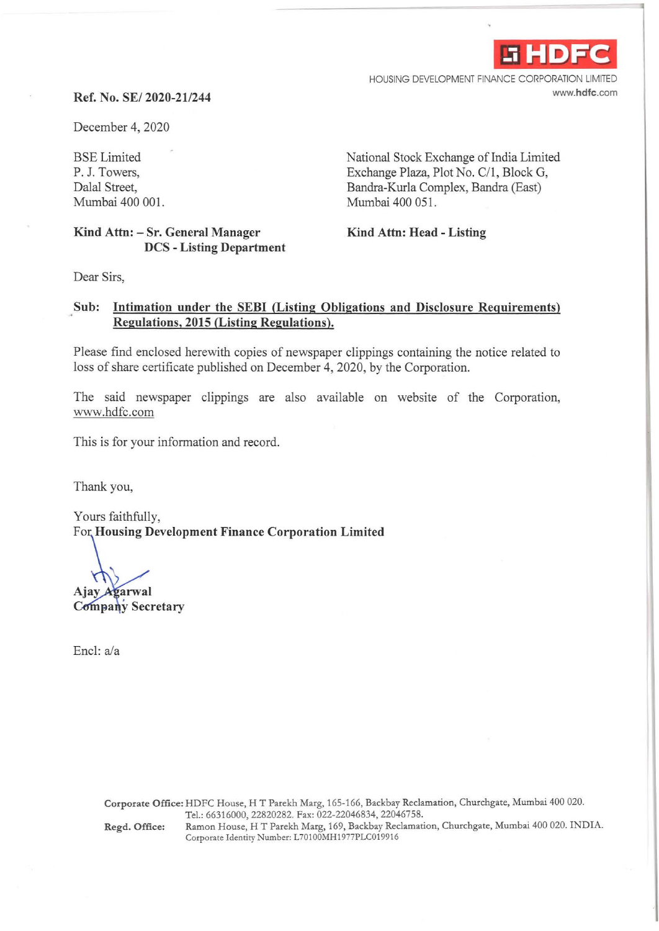

HOUSING DEVELOPMENT FINANCE CORPORATION LIMITED www.hdfc.com

## **Ref. No.** SE/ **2020-21/244**

December 4, 2020

BSE Limited P. J. Towers, Dalal Street, Mumbai 400 001.

**Kind Attn: - Sr. General Manager DCS - Listing Department**  National Stock Exchange of India Limited Exchange Plaza, Plot No. C/1, Block G, Bandra-Kurla Complex, Bandra (East) Mumbai 400 051.

**Kind Attn: Head - Listing** 

Dear Sirs,

## **Sub: Intimation under the SEBI (Listing Obligations and Disclosure Requirements) Regulations, 2015 (Listing Regulations).**

Please find enclosed herewith copies of newspaper clippings containing the notice related to loss of share certificate published on December 4, 2020, by the Corporation.

The said newspaper clippings are also available on website of the Corporation, www.hdfc.com

This is for your information and record.

Thank you,

Yours faithfully, For **Housing Development Finance Corporation Limited** 

Ajay Agarwal

Company Secretary

Encl: a/a

Corporate Office: HDFC House, HT Parekh Marg, 165-166, Backbay Reclamation, Churchgate, Mumbai 400 020. Tel.:66316000,22820282. Fax:022-22046834,22046758. Regd. Office: Ramon House, HT Parekh Marg, 169, Backbay Reclamation, Churchgate, Mumbai 400 020. INDIA. Corporate Identity Number: L70100MH1977PLC019916